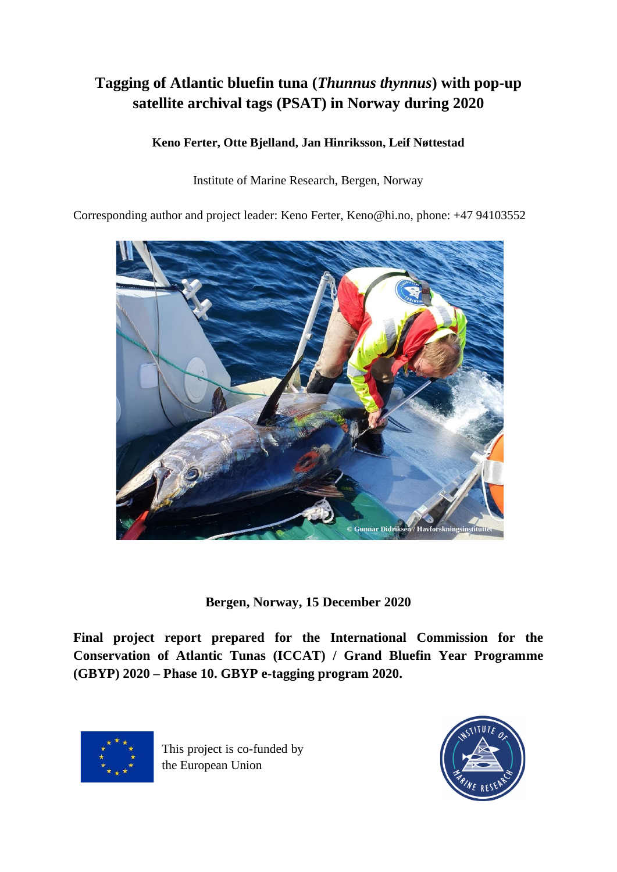# **Tagging of Atlantic bluefin tuna (***Thunnus thynnus***) with pop-up satellite archival tags (PSAT) in Norway during 2020**

# **Keno Ferter, Otte Bjelland, Jan Hinriksson, Leif Nøttestad**

Institute of Marine Research, Bergen, Norway

Corresponding author and project leader: Keno Ferter, Keno@hi.no, phone: +47 94103552



**Bergen, Norway, 15 December 2020**

**Final project report prepared for the International Commission for the Conservation of Atlantic Tunas (ICCAT) / Grand Bluefin Year Programme (GBYP) 2020 – Phase 10. GBYP e-tagging program 2020.** 



This project is co-funded by the European Union

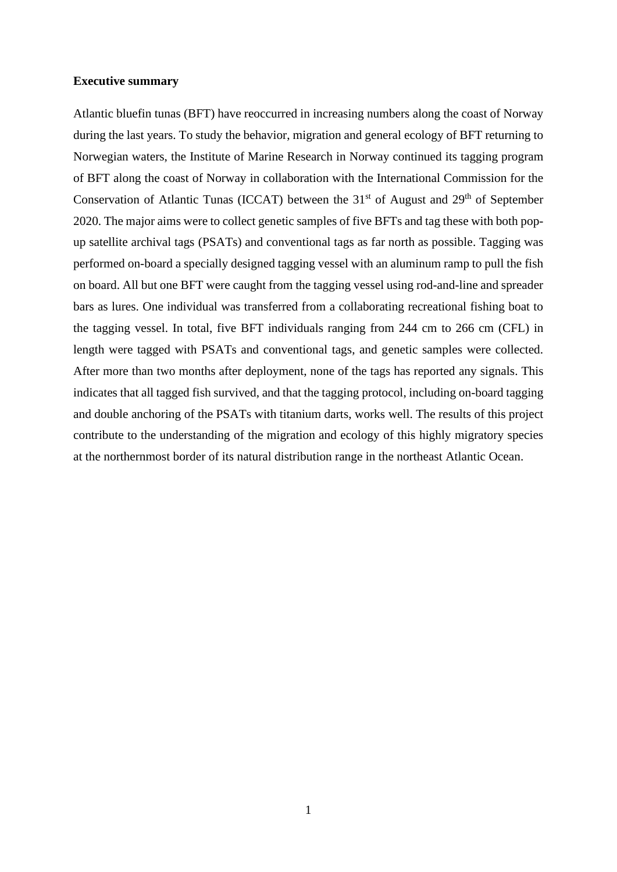## **Executive summary**

Atlantic bluefin tunas (BFT) have reoccurred in increasing numbers along the coast of Norway during the last years. To study the behavior, migration and general ecology of BFT returning to Norwegian waters, the Institute of Marine Research in Norway continued its tagging program of BFT along the coast of Norway in collaboration with the International Commission for the Conservation of Atlantic Tunas (ICCAT) between the  $31<sup>st</sup>$  of August and  $29<sup>th</sup>$  of September 2020. The major aims were to collect genetic samples of five BFTs and tag these with both popup satellite archival tags (PSATs) and conventional tags as far north as possible. Tagging was performed on-board a specially designed tagging vessel with an aluminum ramp to pull the fish on board. All but one BFT were caught from the tagging vessel using rod-and-line and spreader bars as lures. One individual was transferred from a collaborating recreational fishing boat to the tagging vessel. In total, five BFT individuals ranging from 244 cm to 266 cm (CFL) in length were tagged with PSATs and conventional tags, and genetic samples were collected. After more than two months after deployment, none of the tags has reported any signals. This indicates that all tagged fish survived, and that the tagging protocol, including on-board tagging and double anchoring of the PSATs with titanium darts, works well. The results of this project contribute to the understanding of the migration and ecology of this highly migratory species at the northernmost border of its natural distribution range in the northeast Atlantic Ocean.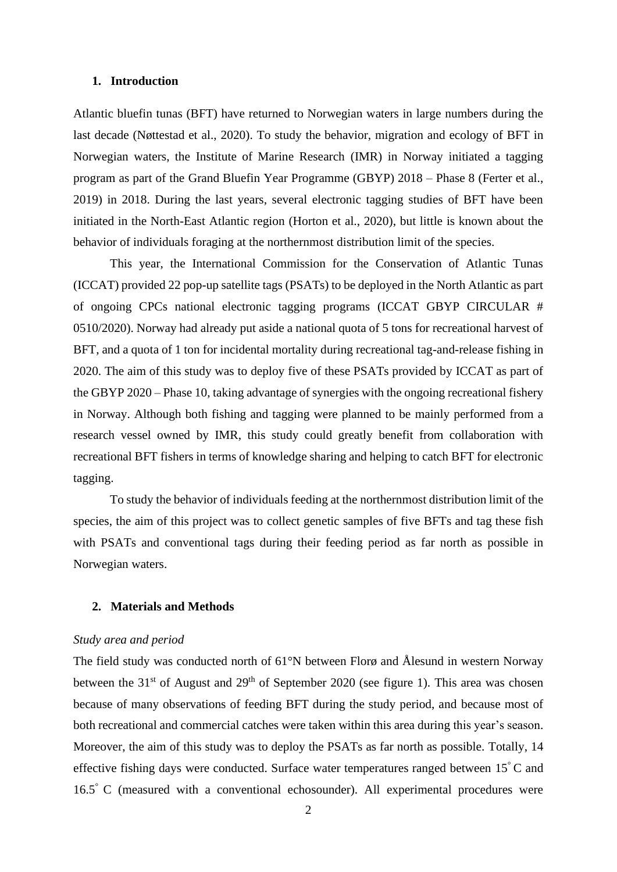# **1. Introduction**

Atlantic bluefin tunas (BFT) have returned to Norwegian waters in large numbers during the last decade (Nøttestad et al., 2020). To study the behavior, migration and ecology of BFT in Norwegian waters, the Institute of Marine Research (IMR) in Norway initiated a tagging program as part of the Grand Bluefin Year Programme (GBYP) 2018 – Phase 8 (Ferter et al., 2019) in 2018. During the last years, several electronic tagging studies of BFT have been initiated in the North-East Atlantic region (Horton et al., 2020), but little is known about the behavior of individuals foraging at the northernmost distribution limit of the species.

This year, the International Commission for the Conservation of Atlantic Tunas (ICCAT) provided 22 pop-up satellite tags (PSATs) to be deployed in the North Atlantic as part of ongoing CPCs national electronic tagging programs (ICCAT GBYP CIRCULAR # 0510/2020). Norway had already put aside a national quota of 5 tons for recreational harvest of BFT, and a quota of 1 ton for incidental mortality during recreational tag-and-release fishing in 2020. The aim of this study was to deploy five of these PSATs provided by ICCAT as part of the GBYP 2020 – Phase 10, taking advantage of synergies with the ongoing recreational fishery in Norway. Although both fishing and tagging were planned to be mainly performed from a research vessel owned by IMR, this study could greatly benefit from collaboration with recreational BFT fishers in terms of knowledge sharing and helping to catch BFT for electronic tagging.

To study the behavior of individuals feeding at the northernmost distribution limit of the species, the aim of this project was to collect genetic samples of five BFTs and tag these fish with PSATs and conventional tags during their feeding period as far north as possible in Norwegian waters.

## **2. Materials and Methods**

#### *Study area and period*

The field study was conducted north of 61°N between Florø and Ålesund in western Norway between the  $31<sup>st</sup>$  of August and  $29<sup>th</sup>$  of September 2020 (see figure 1). This area was chosen because of many observations of feeding BFT during the study period, and because most of both recreational and commercial catches were taken within this area during this year's season. Moreover, the aim of this study was to deploy the PSATs as far north as possible. Totally, 14 effective fishing days were conducted. Surface water temperatures ranged between 15<sup>°</sup>C and 16.5° C (measured with a conventional echosounder). All experimental procedures were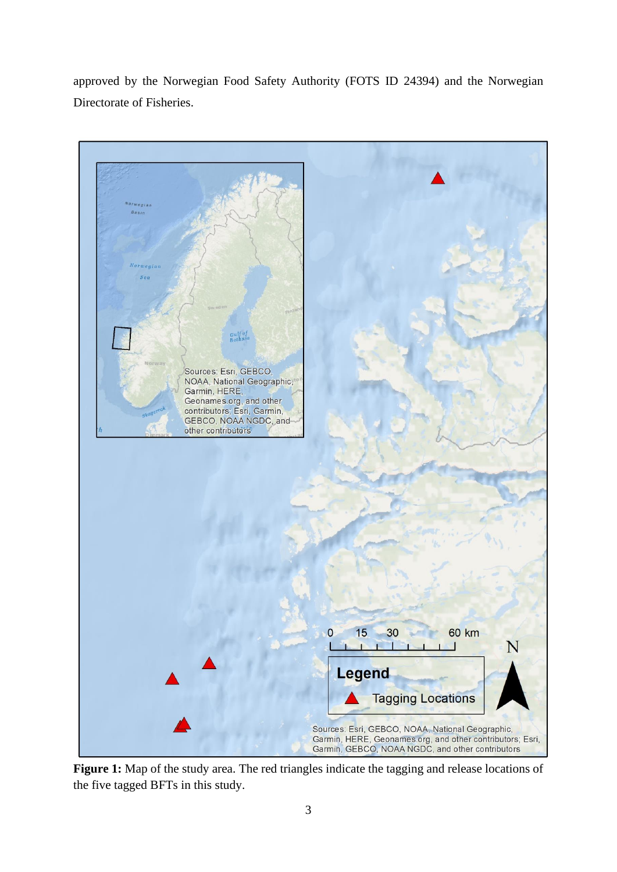approved by the Norwegian Food Safety Authority (FOTS ID 24394) and the Norwegian Directorate of Fisheries.



Figure 1: Map of the study area. The red triangles indicate the tagging and release locations of the five tagged BFTs in this study.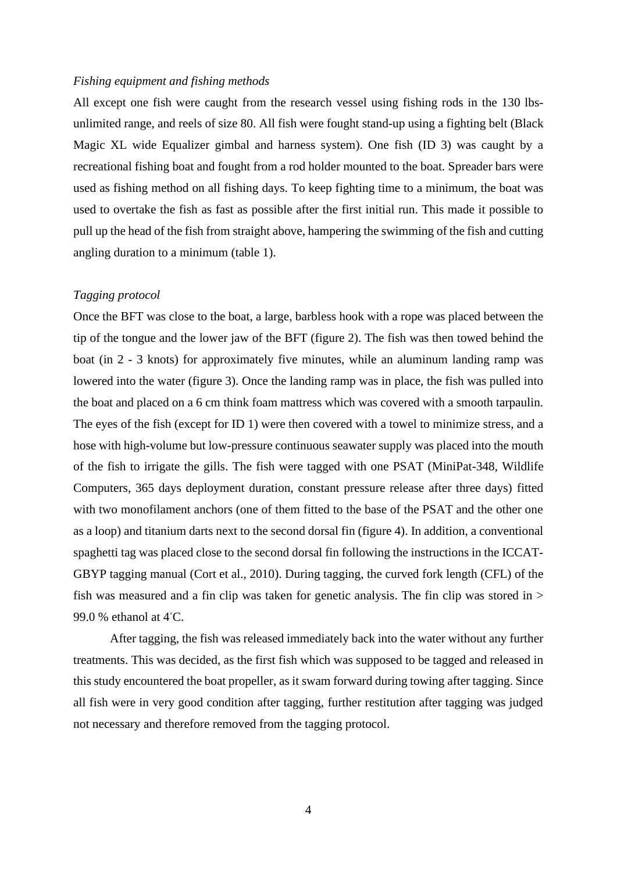#### *Fishing equipment and fishing methods*

All except one fish were caught from the research vessel using fishing rods in the 130 lbsunlimited range, and reels of size 80. All fish were fought stand-up using a fighting belt (Black Magic XL wide Equalizer gimbal and harness system). One fish (ID 3) was caught by a recreational fishing boat and fought from a rod holder mounted to the boat. Spreader bars were used as fishing method on all fishing days. To keep fighting time to a minimum, the boat was used to overtake the fish as fast as possible after the first initial run. This made it possible to pull up the head of the fish from straight above, hampering the swimming of the fish and cutting angling duration to a minimum (table 1).

# *Tagging protocol*

Once the BFT was close to the boat, a large, barbless hook with a rope was placed between the tip of the tongue and the lower jaw of the BFT (figure 2). The fish was then towed behind the boat (in 2 - 3 knots) for approximately five minutes, while an aluminum landing ramp was lowered into the water (figure 3). Once the landing ramp was in place, the fish was pulled into the boat and placed on a 6 cm think foam mattress which was covered with a smooth tarpaulin. The eyes of the fish (except for ID 1) were then covered with a towel to minimize stress, and a hose with high-volume but low-pressure continuous seawater supply was placed into the mouth of the fish to irrigate the gills. The fish were tagged with one PSAT (MiniPat-348, Wildlife Computers, 365 days deployment duration, constant pressure release after three days) fitted with two monofilament anchors (one of them fitted to the base of the PSAT and the other one as a loop) and titanium darts next to the second dorsal fin (figure 4). In addition, a conventional spaghetti tag was placed close to the second dorsal fin following the instructions in the ICCAT-GBYP tagging manual (Cort et al., 2010). During tagging, the curved fork length (CFL) of the fish was measured and a fin clip was taken for genetic analysis. The fin clip was stored in  $>$ 99.0 % ethanol at 4<sup>°</sup>C.

After tagging, the fish was released immediately back into the water without any further treatments. This was decided, as the first fish which was supposed to be tagged and released in this study encountered the boat propeller, as it swam forward during towing after tagging. Since all fish were in very good condition after tagging, further restitution after tagging was judged not necessary and therefore removed from the tagging protocol.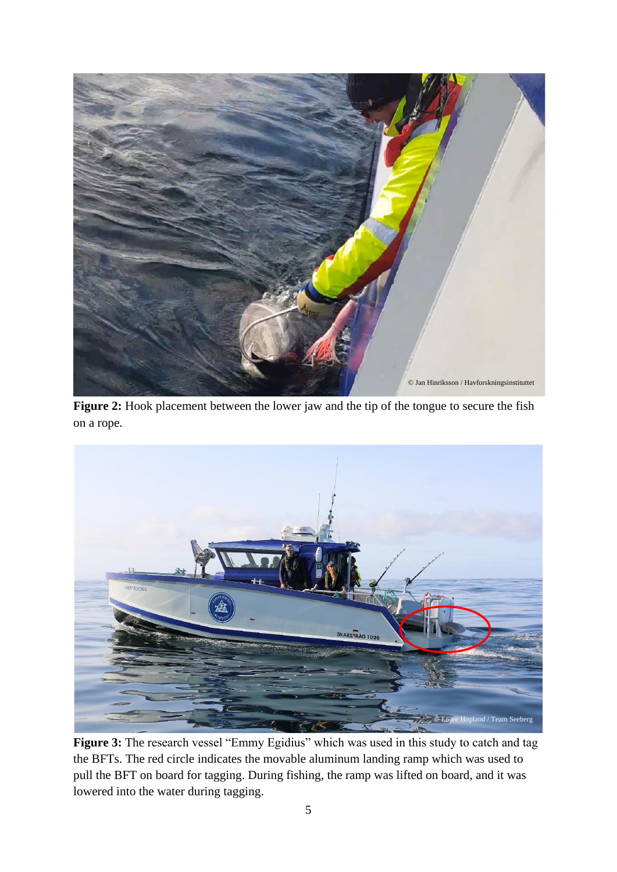

**Figure 2:** Hook placement between the lower jaw and the tip of the tongue to secure the fish on a rope.



**Figure 3:** The research vessel "Emmy Egidius" which was used in this study to catch and tag the BFTs. The red circle indicates the movable aluminum landing ramp which was used to pull the BFT on board for tagging. During fishing, the ramp was lifted on board, and it was lowered into the water during tagging.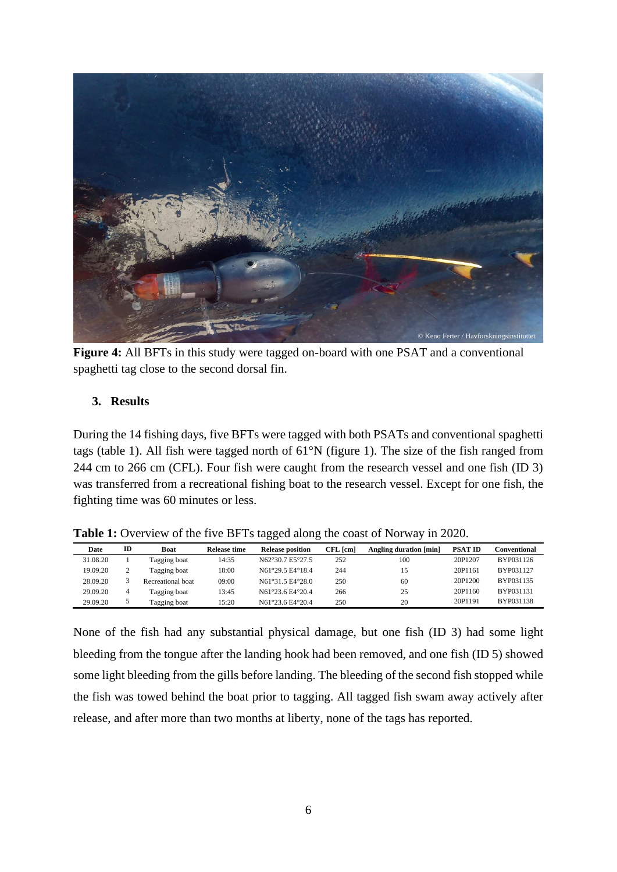

**Figure 4:** All BFTs in this study were tagged on-board with one PSAT and a conventional spaghetti tag close to the second dorsal fin.

# **3. Results**

During the 14 fishing days, five BFTs were tagged with both PSATs and conventional spaghetti tags (table 1). All fish were tagged north of 61°N (figure 1). The size of the fish ranged from 244 cm to 266 cm (CFL). Four fish were caught from the research vessel and one fish (ID 3) was transferred from a recreational fishing boat to the research vessel. Except for one fish, the fighting time was 60 minutes or less.

| <b>Table 1:</b> Overview of the five BFTs tagged along the coast of Norway in 2020. |  |  |
|-------------------------------------------------------------------------------------|--|--|
|-------------------------------------------------------------------------------------|--|--|

| Date     | ID | Boat              | Release time | <b>Release position</b> | $CFL$ $[cm]$ | Angling duration [min] | <b>PSAT ID</b> | <b>Conventional</b> |
|----------|----|-------------------|--------------|-------------------------|--------------|------------------------|----------------|---------------------|
| 31.08.20 |    | Tagging boat      | 14:35        | N62°30.7 E5°27.5        | 252          | 100                    | 20P1207        | BYP031126           |
| 19.09.20 |    | Tagging boat      | 18:00        | N61°29.5 F4°18.4        | 244          |                        | 20P1161        | BYP031127           |
| 28.09.20 |    | Recreational boat | 09:00        | N61°31.5 F4°28.0        | 250          | 60                     | 20P1200        | BYP031135           |
| 29.09.20 | 4  | Tagging boat      | 13:45        | N61°23.6 F4°20.4        | 266          | 25                     | 20P1160        | BYP031131           |
| 29.09.20 |    | Tagging boat      | 15:20        | N61°23.6 E4°20.4        | 250          | 20                     | 20P1191        | BYP031138           |

None of the fish had any substantial physical damage, but one fish (ID 3) had some light bleeding from the tongue after the landing hook had been removed, and one fish (ID 5) showed some light bleeding from the gills before landing. The bleeding of the second fish stopped while the fish was towed behind the boat prior to tagging. All tagged fish swam away actively after release, and after more than two months at liberty, none of the tags has reported.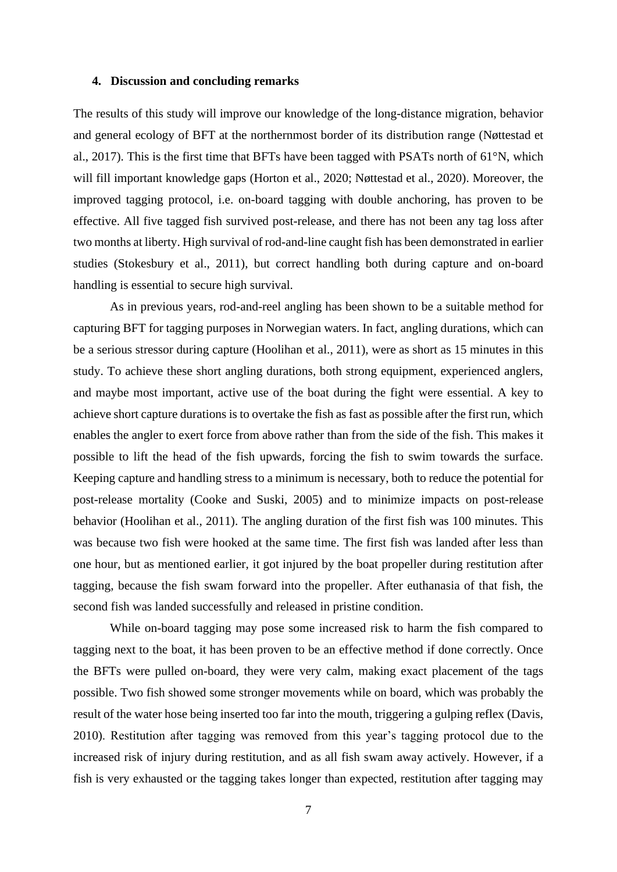### **4. Discussion and concluding remarks**

The results of this study will improve our knowledge of the long-distance migration, behavior and general ecology of BFT at the northernmost border of its distribution range (Nøttestad et al., 2017). This is the first time that BFTs have been tagged with PSATs north of  $61^{\circ}$ N, which will fill important knowledge gaps (Horton et al., 2020; Nøttestad et al., 2020). Moreover, the improved tagging protocol, i.e. on-board tagging with double anchoring, has proven to be effective. All five tagged fish survived post-release, and there has not been any tag loss after two months at liberty. High survival of rod-and-line caught fish has been demonstrated in earlier studies (Stokesbury et al., 2011), but correct handling both during capture and on-board handling is essential to secure high survival.

As in previous years, rod-and-reel angling has been shown to be a suitable method for capturing BFT for tagging purposes in Norwegian waters. In fact, angling durations, which can be a serious stressor during capture (Hoolihan et al., 2011), were as short as 15 minutes in this study. To achieve these short angling durations, both strong equipment, experienced anglers, and maybe most important, active use of the boat during the fight were essential. A key to achieve short capture durations is to overtake the fish as fast as possible after the first run, which enables the angler to exert force from above rather than from the side of the fish. This makes it possible to lift the head of the fish upwards, forcing the fish to swim towards the surface. Keeping capture and handling stress to a minimum is necessary, both to reduce the potential for post-release mortality (Cooke and Suski, 2005) and to minimize impacts on post-release behavior (Hoolihan et al., 2011). The angling duration of the first fish was 100 minutes. This was because two fish were hooked at the same time. The first fish was landed after less than one hour, but as mentioned earlier, it got injured by the boat propeller during restitution after tagging, because the fish swam forward into the propeller. After euthanasia of that fish, the second fish was landed successfully and released in pristine condition.

While on-board tagging may pose some increased risk to harm the fish compared to tagging next to the boat, it has been proven to be an effective method if done correctly. Once the BFTs were pulled on-board, they were very calm, making exact placement of the tags possible. Two fish showed some stronger movements while on board, which was probably the result of the water hose being inserted too far into the mouth, triggering a gulping reflex (Davis, 2010). Restitution after tagging was removed from this year's tagging protocol due to the increased risk of injury during restitution, and as all fish swam away actively. However, if a fish is very exhausted or the tagging takes longer than expected, restitution after tagging may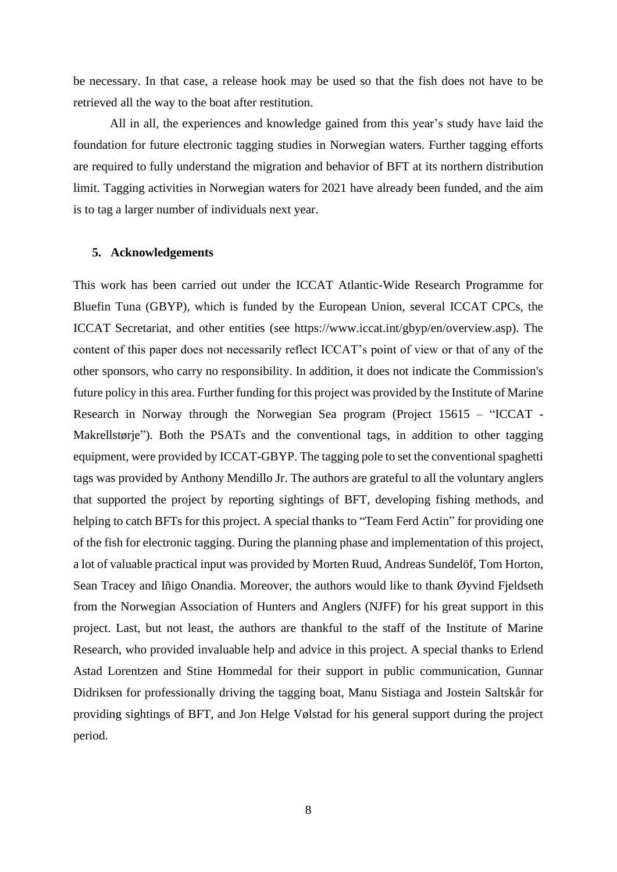be necessary. In that case, a release hook may be used so that the fish does not have to be retrieved all the way to the boat after restitution.

All in all, the experiences and knowledge gained from this year's study have laid the foundation for future electronic tagging studies in Norwegian waters. Further tagging efforts are required to fully understand the migration and behavior of BFT at its northern distribution limit. Tagging activities in Norwegian waters for 2021 have already been funded, and the aim is to tag a larger number of individuals next year.

#### **5. Acknowledgements**

This work has been carried out under the ICCAT Atlantic-Wide Research Programme for Bluefin Tuna (GBYP), which is funded by the European Union, several ICCAT CPCs, the ICCAT Secretariat, and other entities (see https://www.iccat.int/gbyp/en/overview.asp). The content of this paper does not necessarily reflect ICCAT's point of view or that of any of the other sponsors, who carry no responsibility. In addition, it does not indicate the Commission's future policy in this area. Further funding for this project was provided by the Institute of Marine Research in Norway through the Norwegian Sea program (Project 15615 – "ICCAT - Makrellstørje"). Both the PSATs and the conventional tags, in addition to other tagging equipment, were provided by ICCAT-GBYP. The tagging pole to set the conventional spaghetti tags was provided by Anthony Mendillo Jr. The authors are grateful to all the voluntary anglers that supported the project by reporting sightings of BFT, developing fishing methods, and helping to catch BFTs for this project. A special thanks to "Team Ferd Actin" for providing one of the fish for electronic tagging. During the planning phase and implementation of this project, a lot of valuable practical input was provided by Morten Ruud, Andreas Sundelöf, Tom Horton, Sean Tracey and Iñigo Onandia. Moreover, the authors would like to thank Øyvind Fjeldseth from the Norwegian Association of Hunters and Anglers (NJFF) for his great support in this project. Last, but not least, the authors are thankful to the staff of the Institute of Marine Research, who provided invaluable help and advice in this project. A special thanks to Erlend Astad Lorentzen and Stine Hommedal for their support in public communication, Gunnar Didriksen for professionally driving the tagging boat, Manu Sistiaga and Jostein Saltskår for providing sightings of BFT, and Jon Helge Vølstad for his general support during the project period.